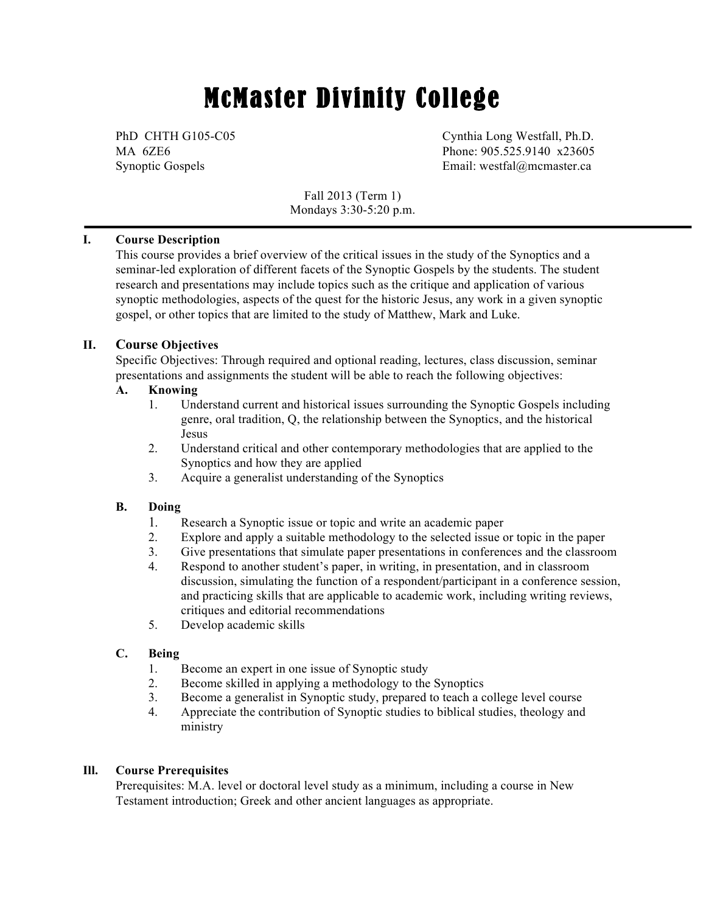# McMaster Divinity College

PhD CHTH G105-C05 Cynthia Long Westfall, Ph.D. MA 6ZE6 Phone: 905.525.9140 x23605 Synoptic Gospels **Email:** westfal@mcmaster.ca

> Fall 2013 (Term 1) Mondays 3:30-5:20 p.m.

# **I. Course Description**

This course provides a brief overview of the critical issues in the study of the Synoptics and a seminar-led exploration of different facets of the Synoptic Gospels by the students. The student research and presentations may include topics such as the critique and application of various synoptic methodologies, aspects of the quest for the historic Jesus, any work in a given synoptic gospel, or other topics that are limited to the study of Matthew, Mark and Luke.

# **II. Course Objectives**

Specific Objectives: Through required and optional reading, lectures, class discussion, seminar presentations and assignments the student will be able to reach the following objectives:

# **A. Knowing**

- 1. Understand current and historical issues surrounding the Synoptic Gospels including genre, oral tradition, Q, the relationship between the Synoptics, and the historical Jesus
- 2. Understand critical and other contemporary methodologies that are applied to the Synoptics and how they are applied
- 3. Acquire a generalist understanding of the Synoptics

# **B. Doing**

- 1*.* Research a Synoptic issue or topic and write an academic paper
- 2. Explore and apply a suitable methodology to the selected issue or topic in the paper
- 3. Give presentations that simulate paper presentations in conferences and the classroom
- 4. Respond to another student's paper, in writing, in presentation, and in classroom discussion, simulating the function of a respondent/participant in a conference session, and practicing skills that are applicable to academic work, including writing reviews, critiques and editorial recommendations
- 5. Develop academic skills

# **C. Being**

- 1. Become an expert in one issue of Synoptic study
- 2. Become skilled in applying a methodology to the Synoptics
- 3. Become a generalist in Synoptic study, prepared to teach a college level course
- 4. Appreciate the contribution of Synoptic studies to biblical studies, theology and ministry

## **Ill. Course Prerequisites**

Prerequisites: M.A. level or doctoral level study as a minimum, including a course in New Testament introduction; Greek and other ancient languages as appropriate.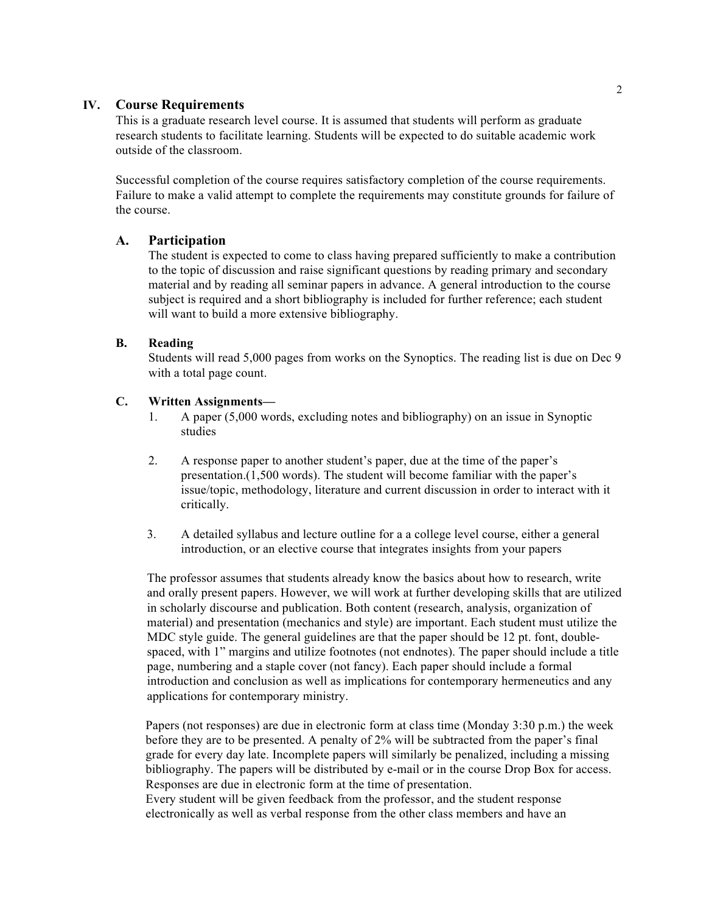## **IV. Course Requirements**

This is a graduate research level course. It is assumed that students will perform as graduate research students to facilitate learning. Students will be expected to do suitable academic work outside of the classroom.

Successful completion of the course requires satisfactory completion of the course requirements. Failure to make a valid attempt to complete the requirements may constitute grounds for failure of the course.

#### **A. Participation**

The student is expected to come to class having prepared sufficiently to make a contribution to the topic of discussion and raise significant questions by reading primary and secondary material and by reading all seminar papers in advance. A general introduction to the course subject is required and a short bibliography is included for further reference; each student will want to build a more extensive bibliography.

#### **B. Reading**

Students will read 5,000 pages from works on the Synoptics. The reading list is due on Dec 9 with a total page count.

## **C. Written Assignments—**

- 1. A paper (5,000 words, excluding notes and bibliography) on an issue in Synoptic studies
- 2. A response paper to another student's paper, due at the time of the paper's presentation.(1,500 words). The student will become familiar with the paper's issue/topic, methodology, literature and current discussion in order to interact with it critically.
- 3. A detailed syllabus and lecture outline for a a college level course, either a general introduction, or an elective course that integrates insights from your papers

The professor assumes that students already know the basics about how to research, write and orally present papers. However, we will work at further developing skills that are utilized in scholarly discourse and publication. Both content (research, analysis, organization of material) and presentation (mechanics and style) are important. Each student must utilize the MDC style guide. The general guidelines are that the paper should be 12 pt. font, doublespaced, with 1" margins and utilize footnotes (not endnotes). The paper should include a title page, numbering and a staple cover (not fancy). Each paper should include a formal introduction and conclusion as well as implications for contemporary hermeneutics and any applications for contemporary ministry.

Papers (not responses) are due in electronic form at class time (Monday 3:30 p.m.) the week before they are to be presented. A penalty of 2% will be subtracted from the paper's final grade for every day late. Incomplete papers will similarly be penalized, including a missing bibliography. The papers will be distributed by e-mail or in the course Drop Box for access. Responses are due in electronic form at the time of presentation. Every student will be given feedback from the professor, and the student response electronically as well as verbal response from the other class members and have an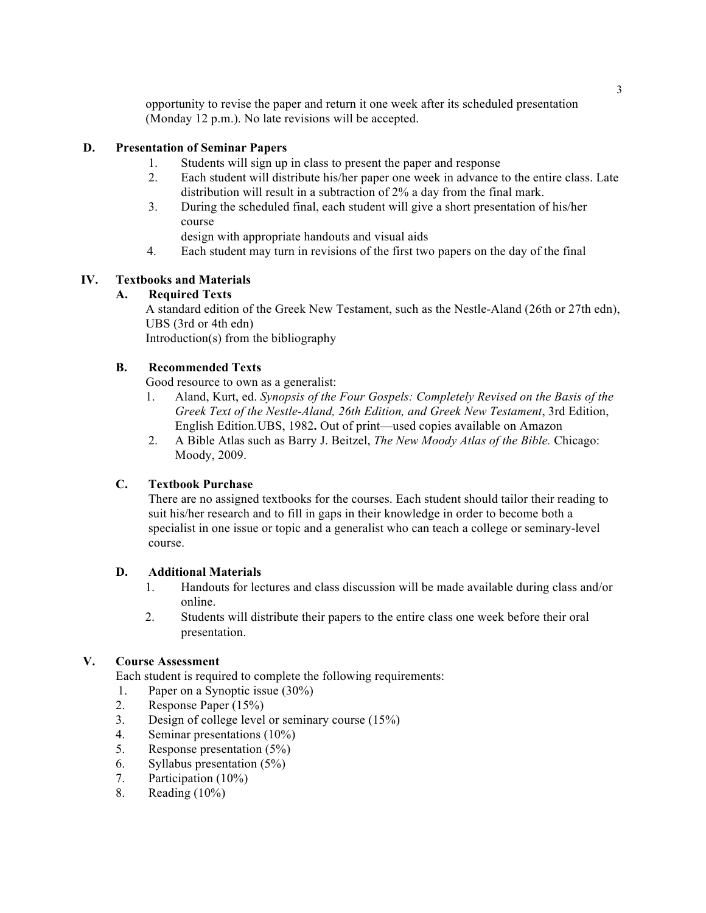opportunity to revise the paper and return it one week after its scheduled presentation (Monday 12 p.m.). No late revisions will be accepted.

# **D. Presentation of Seminar Papers**

- 1. Students will sign up in class to present the paper and response
- 2. Each student will distribute his/her paper one week in advance to the entire class. Late distribution will result in a subtraction of 2% a day from the final mark.
- 3. During the scheduled final, each student will give a short presentation of his/her course

design with appropriate handouts and visual aids

4. Each student may turn in revisions of the first two papers on the day of the final

# **IV. Textbooks and Materials**

# **A. Required Texts**

A standard edition of the Greek New Testament, such as the Nestle-Aland (26th or 27th edn), UBS (3rd or 4th edn)

Introduction(s) from the bibliography

# **B. Recommended Texts**

Good resource to own as a generalist:

- 1. Aland, Kurt, ed. *Synopsis of the Four Gospels: Completely Revised on the Basis of the Greek Text of the Nestle-Aland, 26th Edition, and Greek New Testament*, 3rd Edition, English Edition*.*UBS, 1982**.** Out of print—used copies available on Amazon
- 2. A Bible Atlas such as Barry J. Beitzel, *The New Moody Atlas of the Bible.* Chicago: Moody, 2009.

## **C. Textbook Purchase**

There are no assigned textbooks for the courses. Each student should tailor their reading to suit his/her research and to fill in gaps in their knowledge in order to become both a specialist in one issue or topic and a generalist who can teach a college or seminary-level course.

## **D. Additional Materials**

- 1. Handouts for lectures and class discussion will be made available during class and/or online.
- 2. Students will distribute their papers to the entire class one week before their oral presentation.

# **V. Course Assessment**

Each student is required to complete the following requirements:

- 1. Paper on a Synoptic issue (30%)
- 2. Response Paper (15%)
- 3. Design of college level or seminary course (15%)
- 4. Seminar presentations (10%)
- 5. Response presentation (5%)
- 6. Syllabus presentation (5%)
- 7. Participation (10%)
- 8. Reading (10%)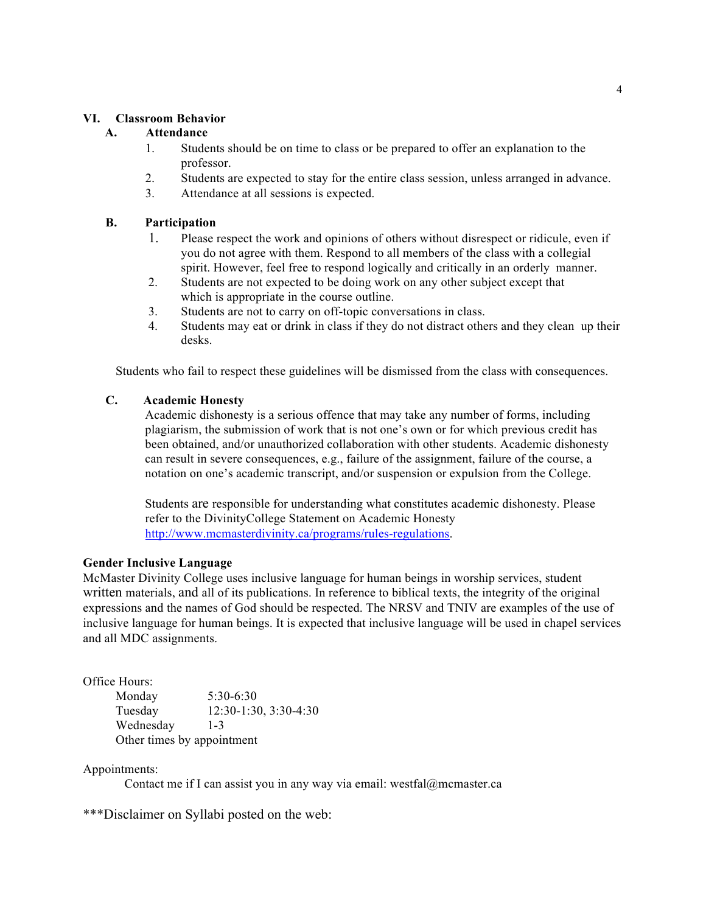#### **VI. Classroom Behavior**

## **A. Attendance**

- 1. Students should be on time to class or be prepared to offer an explanation to the professor.
- 2. Students are expected to stay for the entire class session, unless arranged in advance.
- 3. Attendance at all sessions is expected.

## **B. Participation**

- 1. Please respect the work and opinions of others without disrespect or ridicule, even if you do not agree with them. Respond to all members of the class with a collegial spirit. However, feel free to respond logically and critically in an orderly manner.
- 2. Students are not expected to be doing work on any other subject except that which is appropriate in the course outline.
- 3. Students are not to carry on off-topic conversations in class.
- 4. Students may eat or drink in class if they do not distract others and they clean up their desks.

Students who fail to respect these guidelines will be dismissed from the class with consequences.

#### **C. Academic Honesty**

Academic dishonesty is a serious offence that may take any number of forms, including plagiarism, the submission of work that is not one's own or for which previous credit has been obtained, and/or unauthorized collaboration with other students. Academic dishonesty can result in severe consequences, e.g., failure of the assignment, failure of the course, a notation on one's academic transcript, and/or suspension or expulsion from the College.

Students are responsible for understanding what constitutes academic dishonesty. Please refer to the DivinityCollege Statement on Academic Honesty http://www.mcmasterdivinity.ca/programs/rules-regulations.

#### **Gender Inclusive Language**

McMaster Divinity College uses inclusive language for human beings in worship services, student written materials, and all of its publications. In reference to biblical texts, the integrity of the original expressions and the names of God should be respected. The NRSV and TNIV are examples of the use of inclusive language for human beings. It is expected that inclusive language will be used in chapel services and all MDC assignments.

Office Hours:

Monday 5:30-6:30 Tuesday 12:30-1:30, 3:30-4:30 Wednesday 1-3 Other times by appointment

Appointments:

Contact me if I can assist you in any way via email: westfal@mcmaster.ca

\*\*\*Disclaimer on Syllabi posted on the web: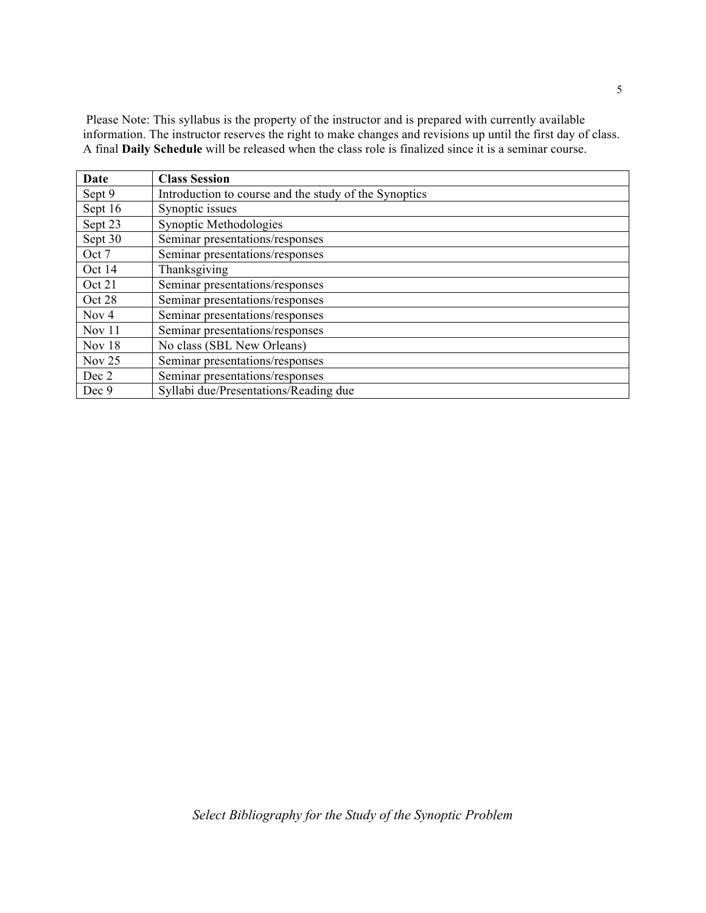Please Note: This syllabus is the property of the instructor and is prepared with currently available information. The instructor reserves the right to make changes and revisions up until the first day of class. A final **Daily Schedule** will be released when the class role is finalized since it is a seminar course.

| Date             | <b>Class Session</b>                                  |
|------------------|-------------------------------------------------------|
| Sept 9           | Introduction to course and the study of the Synoptics |
| Sept 16          | Synoptic issues                                       |
| Sept 23          | Synoptic Methodologies                                |
| Sept 30          | Seminar presentations/responses                       |
| Oct 7            | Seminar presentations/responses                       |
| Oct 14           | Thanksgiving                                          |
| Oct 21           | Seminar presentations/responses                       |
| Oct 28           | Seminar presentations/responses                       |
| Nov <sub>4</sub> | Seminar presentations/responses                       |
| Nov 11           | Seminar presentations/responses                       |
| Nov 18           | No class (SBL New Orleans)                            |
| Nov $25$         | Seminar presentations/responses                       |
| Dec 2            | Seminar presentations/responses                       |
| Dec 9            | Syllabi due/Presentations/Reading due                 |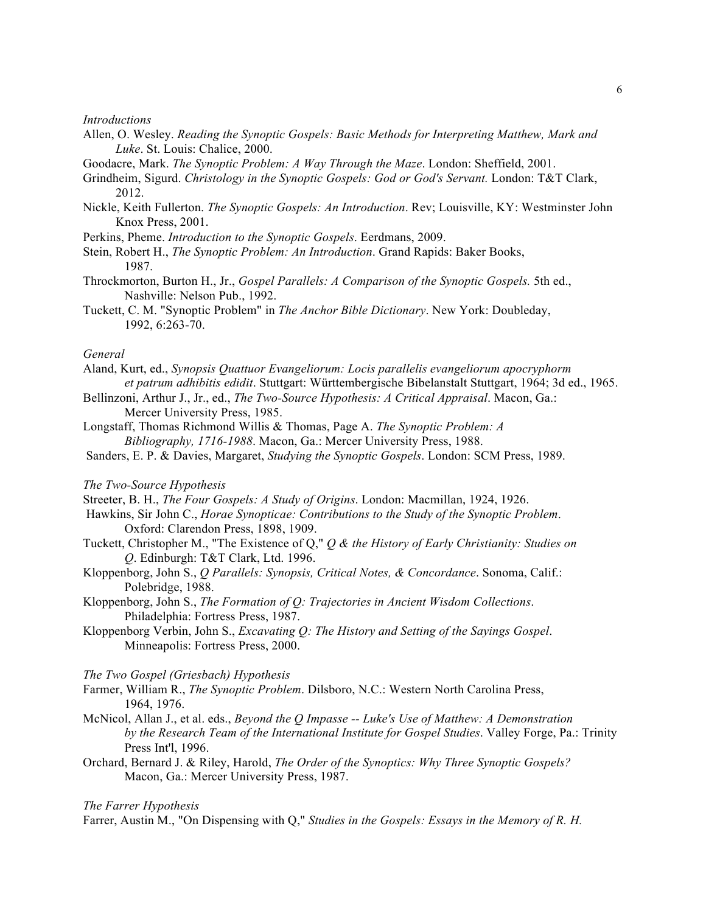#### *Introductions*

- Allen, O. Wesley. *Reading the Synoptic Gospels: Basic Methods for Interpreting Matthew, Mark and Luke*. St. Louis: Chalice, 2000.
- Goodacre, Mark. *The Synoptic Problem: A Way Through the Maze*. London: Sheffield, 2001.
- Grindheim, Sigurd. *Christology in the Synoptic Gospels: God or God's Servant.* London: T&T Clark, 2012.
- Nickle, Keith Fullerton. *The Synoptic Gospels: An Introduction*. Rev; Louisville, KY: Westminster John Knox Press, 2001.
- Perkins, Pheme. *Introduction to the Synoptic Gospels*. Eerdmans, 2009.
- Stein, Robert H., *The Synoptic Problem: An Introduction*. Grand Rapids: Baker Books, 1987.
- Throckmorton, Burton H., Jr., *Gospel Parallels: A Comparison of the Synoptic Gospels.* 5th ed., Nashville: Nelson Pub., 1992.
- Tuckett, C. M. "Synoptic Problem" in *The Anchor Bible Dictionary*. New York: Doubleday, 1992, 6:263-70.

#### *General*

- Aland, Kurt, ed., *Synopsis Quattuor Evangeliorum: Locis parallelis evangeliorum apocryphorm et patrum adhibitis edidit*. Stuttgart: Württembergische Bibelanstalt Stuttgart, 1964; 3d ed., 1965.
- Bellinzoni, Arthur J., Jr., ed., *The Two-Source Hypothesis: A Critical Appraisal*. Macon, Ga.: Mercer University Press, 1985.
- Longstaff, Thomas Richmond Willis & Thomas, Page A. *The Synoptic Problem: A Bibliography, 1716-1988*. Macon, Ga.: Mercer University Press, 1988.
- Sanders, E. P. & Davies, Margaret, *Studying the Synoptic Gospels*. London: SCM Press, 1989.

#### *The Two-Source Hypothesis*

- Streeter, B. H., *The Four Gospels: A Study of Origins*. London: Macmillan, 1924, 1926.
- Hawkins, Sir John C., *Horae Synopticae: Contributions to the Study of the Synoptic Problem*. Oxford: Clarendon Press, 1898, 1909.
- Tuckett, Christopher M., "The Existence of Q," *Q & the History of Early Christianity: Studies on Q*. Edinburgh: T&T Clark, Ltd. 1996.
- Kloppenborg, John S., *Q Parallels: Synopsis, Critical Notes, & Concordance*. Sonoma, Calif.: Polebridge, 1988.
- Kloppenborg, John S., *The Formation of Q: Trajectories in Ancient Wisdom Collections*. Philadelphia: Fortress Press, 1987.
- Kloppenborg Verbin, John S., *Excavating Q: The History and Setting of the Sayings Gospel*. Minneapolis: Fortress Press, 2000.

#### *The Two Gospel (Griesbach) Hypothesis*

- Farmer, William R., *The Synoptic Problem*. Dilsboro, N.C.: Western North Carolina Press, 1964, 1976.
- McNicol, Allan J., et al. eds., *Beyond the Q Impasse -- Luke's Use of Matthew: A Demonstration by the Research Team of the International Institute for Gospel Studies*. Valley Forge, Pa.: Trinity Press Int'l, 1996.
- Orchard, Bernard J. & Riley, Harold, *The Order of the Synoptics: Why Three Synoptic Gospels?* Macon, Ga.: Mercer University Press, 1987.

#### *The Farrer Hypothesis*

Farrer, Austin M., "On Dispensing with Q," *Studies in the Gospels: Essays in the Memory of R. H.*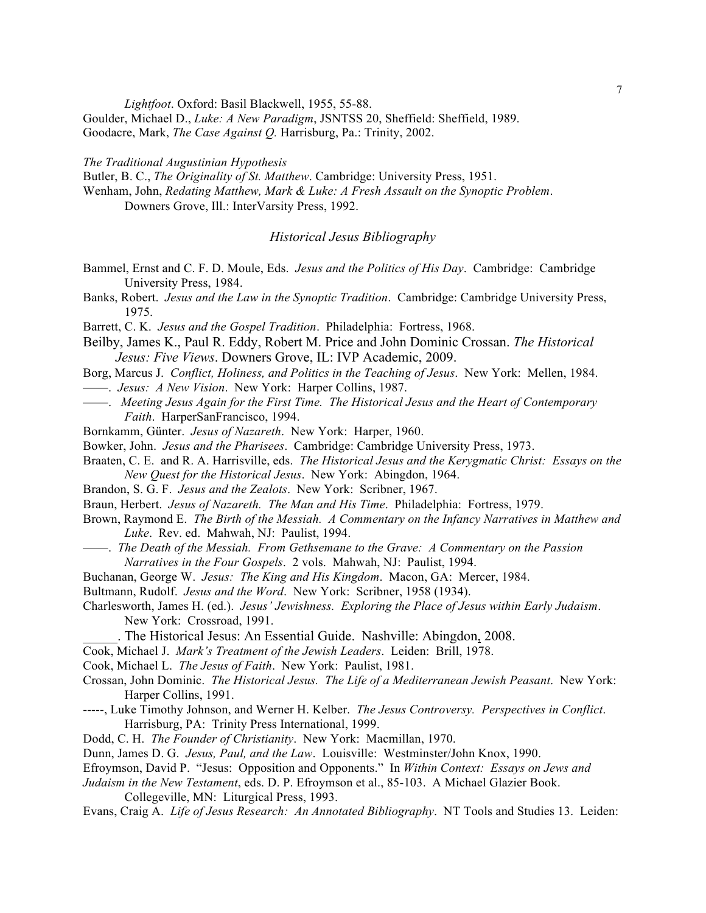*Lightfoot*. Oxford: Basil Blackwell, 1955, 55-88.

Goulder, Michael D., *Luke: A New Paradigm*, JSNTSS 20, Sheffield: Sheffield, 1989. Goodacre, Mark, *The Case Against Q.* Harrisburg, Pa.: Trinity, 2002.

*The Traditional Augustinian Hypothesis*

Butler, B. C., *The Originality of St. Matthew*. Cambridge: University Press, 1951.

Wenham, John, *Redating Matthew, Mark & Luke: A Fresh Assault on the Synoptic Problem*. Downers Grove, Ill.: InterVarsity Press, 1992.

*Historical Jesus Bibliography*

- Bammel, Ernst and C. F. D. Moule, Eds. *Jesus and the Politics of His Day*. Cambridge: Cambridge University Press, 1984.
- Banks, Robert. *Jesus and the Law in the Synoptic Tradition*. Cambridge: Cambridge University Press, 1975.
- Barrett, C. K. *Jesus and the Gospel Tradition*. Philadelphia: Fortress, 1968.
- Beilby, James K., Paul R. Eddy, Robert M. Price and John Dominic Crossan. *The Historical Jesus: Five Views*. Downers Grove, IL: IVP Academic, 2009.
- Borg, Marcus J. *Conflict, Holiness, and Politics in the Teaching of Jesus*. New York: Mellen, 1984.
- ——. *Jesus: A New Vision*. New York: Harper Collins, 1987.
- ——. *Meeting Jesus Again for the First Time. The Historical Jesus and the Heart of Contemporary Faith*. HarperSanFrancisco, 1994.
- Bornkamm, Günter. *Jesus of Nazareth*. New York: Harper, 1960.
- Bowker, John. *Jesus and the Pharisees*. Cambridge: Cambridge University Press, 1973.
- Braaten, C. E. and R. A. Harrisville, eds. *The Historical Jesus and the Kerygmatic Christ: Essays on the New Quest for the Historical Jesus*. New York: Abingdon, 1964.
- Brandon, S. G. F. *Jesus and the Zealots*. New York: Scribner, 1967.
- Braun, Herbert. *Jesus of Nazareth. The Man and His Time*. Philadelphia: Fortress, 1979.
- Brown, Raymond E. *The Birth of the Messiah. A Commentary on the Infancy Narratives in Matthew and Luke*. Rev. ed. Mahwah, NJ: Paulist, 1994.
- ——. *The Death of the Messiah. From Gethsemane to the Grave: A Commentary on the Passion Narratives in the Four Gospels*. 2 vols. Mahwah, NJ: Paulist, 1994.
- Buchanan, George W. *Jesus: The King and His Kingdom*. Macon, GA: Mercer, 1984.

Bultmann, Rudolf. *Jesus and the Word*. New York: Scribner, 1958 (1934).

Charlesworth, James H. (ed.). *Jesus' Jewishness. Exploring the Place of Jesus within Early Judaism*. New York: Crossroad, 1991.

\_\_\_\_\_. The Historical Jesus: An Essential Guide. Nashville: Abingdon, 2008.

Cook, Michael J. *Mark's Treatment of the Jewish Leaders*. Leiden: Brill, 1978.

Cook, Michael L. *The Jesus of Faith*. New York: Paulist, 1981.

- Crossan, John Dominic. *The Historical Jesus. The Life of a Mediterranean Jewish Peasant*. New York: Harper Collins, 1991.
- -----, Luke Timothy Johnson, and Werner H. Kelber. *The Jesus Controversy. Perspectives in Conflict*. Harrisburg, PA: Trinity Press International, 1999.
- Dodd, C. H. *The Founder of Christianity*. New York: Macmillan, 1970.
- Dunn, James D. G. *Jesus, Paul, and the Law*. Louisville: Westminster/John Knox, 1990.
- Efroymson, David P. "Jesus: Opposition and Opponents." In *Within Context: Essays on Jews and*
- *Judaism in the New Testament*, eds. D. P. Efroymson et al., 85-103. A Michael Glazier Book. Collegeville, MN: Liturgical Press, 1993.

Evans, Craig A. *Life of Jesus Research: An Annotated Bibliography*. NT Tools and Studies 13. Leiden: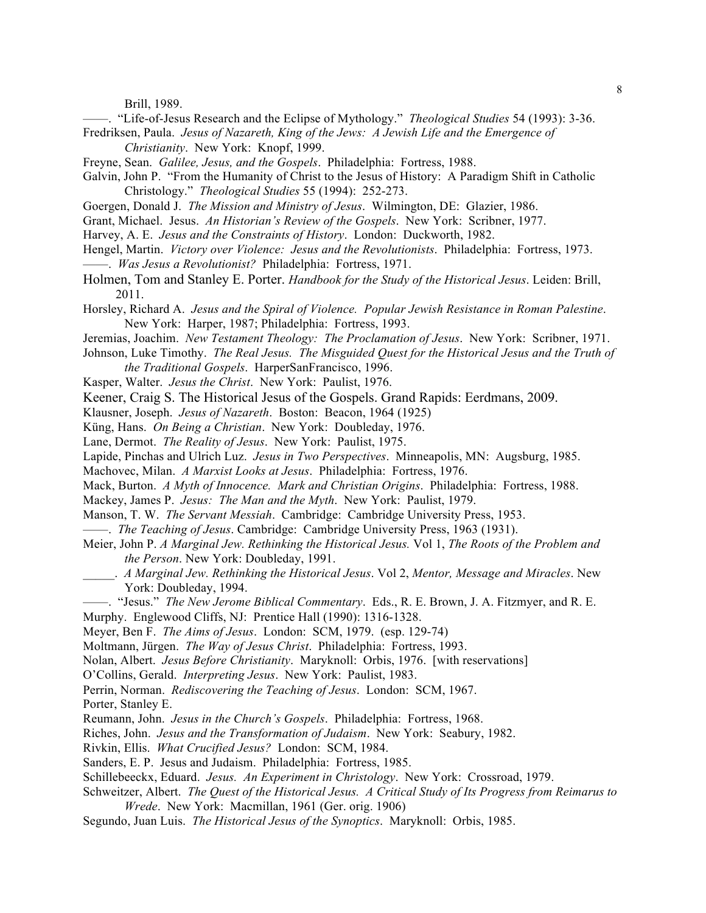Brill, 1989.

——. "Life-of-Jesus Research and the Eclipse of Mythology." *Theological Studies* 54 (1993): 3-36. Fredriksen, Paula. *Jesus of Nazareth, King of the Jews: A Jewish Life and the Emergence of* 

*Christianity*. New York: Knopf, 1999.

- Freyne, Sean. *Galilee, Jesus, and the Gospels*. Philadelphia: Fortress, 1988.
- Galvin, John P. "From the Humanity of Christ to the Jesus of History: A Paradigm Shift in Catholic Christology." *Theological Studies* 55 (1994): 252-273.
- Goergen, Donald J. *The Mission and Ministry of Jesus*. Wilmington, DE: Glazier, 1986.
- Grant, Michael. Jesus. *An Historian's Review of the Gospels*. New York: Scribner, 1977.
- Harvey, A. E. *Jesus and the Constraints of History*. London: Duckworth, 1982.
- Hengel, Martin. *Victory over Violence: Jesus and the Revolutionists*. Philadelphia: Fortress, 1973. ——. *Was Jesus a Revolutionist?* Philadelphia: Fortress, 1971.
- Holmen, Tom and Stanley E. Porter. *Handbook for the Study of the Historical Jesus*. Leiden: Brill, 2011.
- Horsley, Richard A. *Jesus and the Spiral of Violence. Popular Jewish Resistance in Roman Palestine*. New York: Harper, 1987; Philadelphia: Fortress, 1993.
- Jeremias, Joachim. *New Testament Theology: The Proclamation of Jesus*. New York: Scribner, 1971.
- Johnson, Luke Timothy. *The Real Jesus. The Misguided Quest for the Historical Jesus and the Truth of the Traditional Gospels*. HarperSanFrancisco, 1996.

Kasper, Walter. *Jesus the Christ*. New York: Paulist, 1976.

Keener, Craig S. The Historical Jesus of the Gospels. Grand Rapids: Eerdmans, 2009.

Klausner, Joseph. *Jesus of Nazareth*. Boston: Beacon, 1964 (1925)

Küng, Hans. *On Being a Christian*. New York: Doubleday, 1976.

Lane, Dermot. *The Reality of Jesus*. New York: Paulist, 1975.

Lapide, Pinchas and Ulrich Luz. *Jesus in Two Perspectives*. Minneapolis, MN: Augsburg, 1985.

Machovec, Milan. *A Marxist Looks at Jesus*. Philadelphia: Fortress, 1976.

Mack, Burton. *A Myth of Innocence. Mark and Christian Origins*. Philadelphia: Fortress, 1988.

- Mackey, James P. *Jesus: The Man and the Myth*. New York: Paulist, 1979.
- Manson, T. W. *The Servant Messiah*. Cambridge: Cambridge University Press, 1953.
- ——. *The Teaching of Jesus*. Cambridge: Cambridge University Press, 1963 (1931).
- Meier, John P. *A Marginal Jew. Rethinking the Historical Jesus.* Vol 1, *The Roots of the Problem and the Person*. New York: Doubleday, 1991.
- \_\_\_\_\_. *A Marginal Jew. Rethinking the Historical Jesus*. Vol 2, *Mentor, Message and Miracles*. New York: Doubleday, 1994.

——. "Jesus." *The New Jerome Biblical Commentary*. Eds., R. E. Brown, J. A. Fitzmyer, and R. E. Murphy. Englewood Cliffs, NJ: Prentice Hall (1990): 1316-1328.

- Meyer, Ben F. *The Aims of Jesus*. London: SCM, 1979. (esp. 129-74)
- Moltmann, Jürgen. *The Way of Jesus Christ*. Philadelphia: Fortress, 1993.

Nolan, Albert. *Jesus Before Christianity*. Maryknoll: Orbis, 1976. [with reservations]

- O'Collins, Gerald. *Interpreting Jesus*. New York: Paulist, 1983.
- Perrin, Norman. *Rediscovering the Teaching of Jesus*. London: SCM, 1967.

Porter, Stanley E.

- Reumann, John. *Jesus in the Church's Gospels*. Philadelphia: Fortress, 1968.
- Riches, John. *Jesus and the Transformation of Judaism*. New York: Seabury, 1982.
- Rivkin, Ellis. *What Crucified Jesus?* London: SCM, 1984.
- Sanders, E. P. Jesus and Judaism. Philadelphia: Fortress, 1985.

Schillebeeckx, Eduard. *Jesus. An Experiment in Christology*. New York: Crossroad, 1979.

Schweitzer, Albert. *The Quest of the Historical Jesus. A Critical Study of Its Progress from Reimarus to Wrede*. New York: Macmillan, 1961 (Ger. orig. 1906)

Segundo, Juan Luis. *The Historical Jesus of the Synoptics*. Maryknoll: Orbis, 1985.